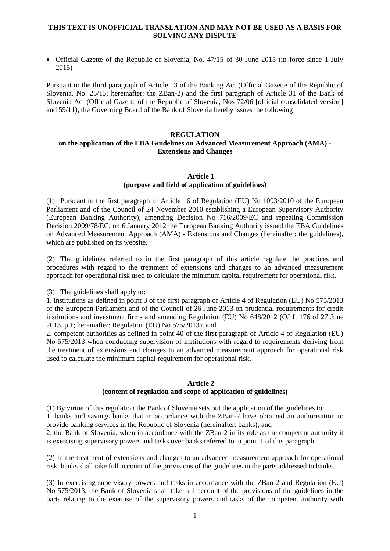## **THIS TEXT IS UNOFFICIAL TRANSLATION AND MAY NOT BE USED AS A BASIS FOR SOLVING ANY DISPUTE**

• Official Gazette of the Republic of Slovenia, No. 47/15 of 30 June 2015 (in force since 1 July 2015)

Pursuant to the third paragraph of Article 13 of the Banking Act (Official Gazette of the Republic of Slovenia, No. 25/15; hereinafter: the ZBan-2) and the first paragraph of Article 31 of the Bank of Slovenia Act (Official Gazette of the Republic of Slovenia, Nos 72/06 [official consolidated version] and 59/11), the Governing Board of the Bank of Slovenia hereby issues the following

#### **REGULATION**

# **on the application of the EBA Guidelines on Advanced Measurement Approach (AMA) - Extensions and Changes**

# **Article 1 (purpose and field of application of guidelines)**

(1) Pursuant to the first paragraph of Article 16 of Regulation (EU) No 1093/2010 of the European Parliament and of the Council of 24 November 2010 establishing a European Supervisory Authority (European Banking Authority), amending Decision No 716/2009/EC and repealing Commission Decision 2009/78/EC, on 6 January 2012 the European Banking Authority issued the EBA Guidelines on Advanced Measurement Approach (AMA) - Extensions and Changes (hereinafter: the guidelines), which are published on its website.

(2) The guidelines referred to in the first paragraph of this article regulate the practices and procedures with regard to the treatment of extensions and changes to an advanced measurement approach for operational risk used to calculate the minimum capital requirement for operational risk.

(3) The guidelines shall apply to:

1. institutions as defined in point 3 of the first paragraph of Article 4 of Regulation (EU) No 575/2013 of the European Parliament and of the Council of 26 June 2013 on prudential requirements for credit institutions and investment firms and amending Regulation (EU) No 648/2012 (OJ L 176 of 27 June 2013, p 1; hereinafter: Regulation (EU) No 575/2013); and

2. competent authorities as defined in point 40 of the first paragraph of Article 4 of Regulation (EU) No 575/2013 when conducting supervision of institutions with regard to requirements deriving from the treatment of extensions and changes to an advanced measurement approach for operational risk used to calculate the minimum capital requirement for operational risk.

#### **Article 2**

## **(content of regulation and scope of application of guidelines)**

(1) By virtue of this regulation the Bank of Slovenia sets out the application of the guidelines to: 1. banks and savings banks that in accordance with the ZBan-2 have obtained an authorisation to provide banking services in the Republic of Slovenia (hereinafter: banks); and

2. the Bank of Slovenia, when in accordance with the ZBan-2 in its role as the competent authority it is exercising supervisory powers and tasks over banks referred to in point 1 of this paragraph.

(2) In the treatment of extensions and changes to an advanced measurement approach for operational risk, banks shall take full account of the provisions of the guidelines in the parts addressed to banks.

(3) In exercising supervisory powers and tasks in accordance with the ZBan-2 and Regulation (EU) No 575/2013, the Bank of Slovenia shall take full account of the provisions of the guidelines in the parts relating to the exercise of the supervisory powers and tasks of the competent authority with